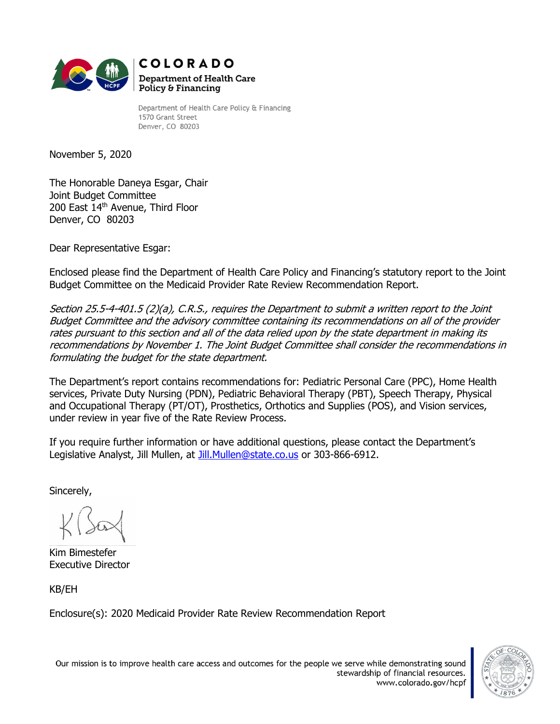

Department of Health Care Policy & Financing 1570 Grant Street Denver, CO 80203

November 5, 2020

The Honorable Daneya Esgar, Chair Joint Budget Committee 200 East 14<sup>th</sup> Avenue, Third Floor Denver, CO 80203

Dear Representative Esgar:

Enclosed please find the Department of Health Care Policy and Financing's statutory report to the Joint Budget Committee on the Medicaid Provider Rate Review Recommendation Report.

Section 25.5-4-401.5 (2)(a), C.R.S., requires the Department to submit a written report to the Joint Budget Committee and the advisory committee containing its recommendations on all of the provider rates pursuant to this section and all of the data relied upon by the state department in making its recommendations by November 1. The Joint Budget Committee shall consider the recommendations in formulating the budget for the state department.

The Department's report contains recommendations for: Pediatric Personal Care (PPC), Home Health services, Private Duty Nursing (PDN), Pediatric Behavioral Therapy (PBT), Speech Therapy, Physical and Occupational Therapy (PT/OT), Prosthetics, Orthotics and Supplies (POS), and Vision services, under review in year five of the Rate Review Process.

If you require further information or have additional questions, please contact the Department's Legislative Analyst, Jill Mullen, at [Jill.Mullen@state.co.us](mailto:Jill.Mullen@state.co.us) or 303-866-6912.

Sincerely,

Kim Bimestefer Executive Director

KB/EH

Enclosure(s): 2020 Medicaid Provider Rate Review Recommendation Report



Our mission is to improve health care access and outcomes for the people we serve while demonstrating sound stewardship of financial resources. www.colorado.gov/hcpf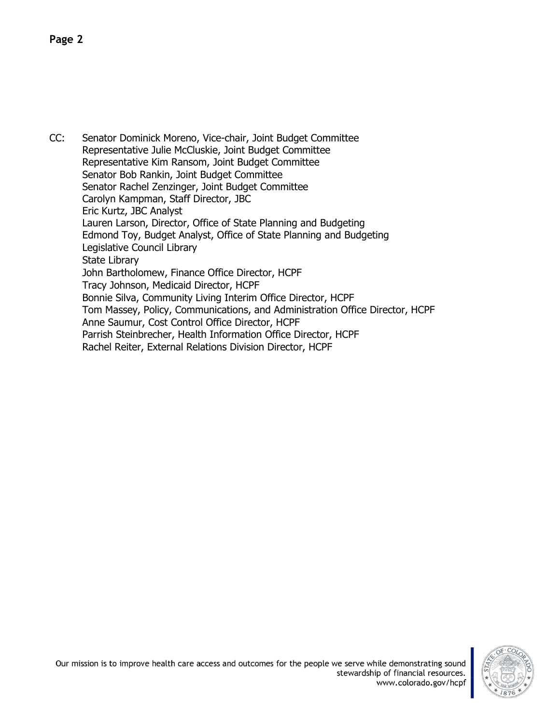CC: Senator Dominick Moreno, Vice-chair, Joint Budget Committee Representative Julie McCluskie, Joint Budget Committee Representative Kim Ransom, Joint Budget Committee Senator Bob Rankin, Joint Budget Committee Senator Rachel Zenzinger, Joint Budget Committee Carolyn Kampman, Staff Director, JBC Eric Kurtz, JBC Analyst Lauren Larson, Director, Office of State Planning and Budgeting Edmond Toy, Budget Analyst, Office of State Planning and Budgeting Legislative Council Library State Library John Bartholomew, Finance Office Director, HCPF Tracy Johnson, Medicaid Director, HCPF Bonnie Silva, Community Living Interim Office Director, HCPF Tom Massey, Policy, Communications, and Administration Office Director, HCPF Anne Saumur, Cost Control Office Director, HCPF Parrish Steinbrecher, Health Information Office Director, HCPF Rachel Reiter, External Relations Division Director, HCPF

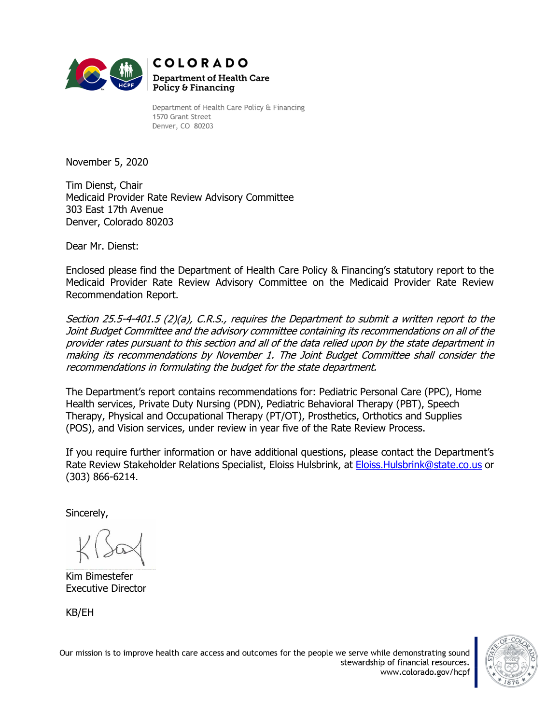

Department of Health Care Policy & Financing 1570 Grant Street Denver, CO 80203

November 5, 2020

Tim Dienst, Chair Medicaid Provider Rate Review Advisory Committee 303 East 17th Avenue Denver, Colorado 80203

Dear Mr. Dienst:

Enclosed please find the Department of Health Care Policy & Financing's statutory report to the Medicaid Provider Rate Review Advisory Committee on the Medicaid Provider Rate Review Recommendation Report.

Section 25.5-4-401.5 (2)(a), C.R.S., requires the Department to submit a written report to the Joint Budget Committee and the advisory committee containing its recommendations on all of the provider rates pursuant to this section and all of the data relied upon by the state department in making its recommendations by November 1. The Joint Budget Committee shall consider the recommendations in formulating the budget for the state department.

The Department's report contains recommendations for: Pediatric Personal Care (PPC), Home Health services, Private Duty Nursing (PDN), Pediatric Behavioral Therapy (PBT), Speech Therapy, Physical and Occupational Therapy (PT/OT), Prosthetics, Orthotics and Supplies (POS), and Vision services, under review in year five of the Rate Review Process.

If you require further information or have additional questions, please contact the Department's Rate Review Stakeholder Relations Specialist, Eloiss Hulsbrink, at [Eloiss.Hulsbrink@state.co.us](mailto:Eloiss.Hulsbrink@state.co.us) or (303) 866-6214.

Sincerely,

Kim Bimestefer Executive Director

KB/EH

Our mission is to improve health care access and outcomes for the people we serve while demonstrating sound stewardship of financial resources. www.colorado.gov/hcpf

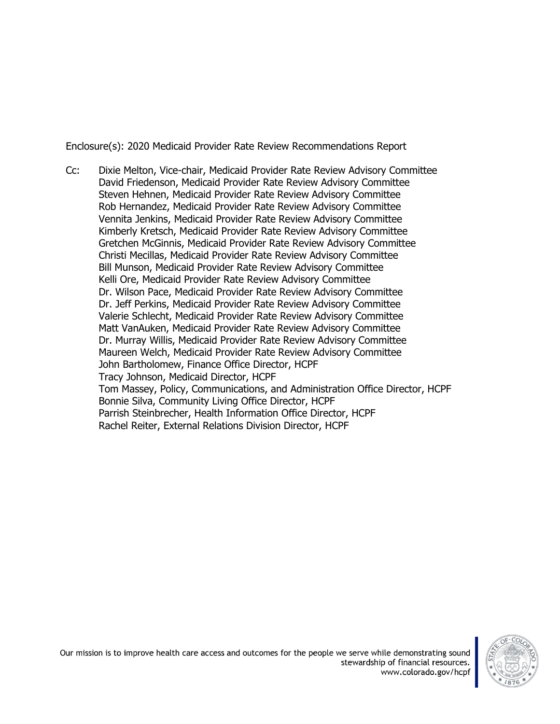Enclosure(s): 2020 Medicaid Provider Rate Review Recommendations Report

Cc: Dixie Melton, Vice-chair, Medicaid Provider Rate Review Advisory Committee David Friedenson, Medicaid Provider Rate Review Advisory Committee Steven Hehnen, Medicaid Provider Rate Review Advisory Committee Rob Hernandez, Medicaid Provider Rate Review Advisory Committee Vennita Jenkins, Medicaid Provider Rate Review Advisory Committee Kimberly Kretsch, Medicaid Provider Rate Review Advisory Committee Gretchen McGinnis, Medicaid Provider Rate Review Advisory Committee Christi Mecillas, Medicaid Provider Rate Review Advisory Committee Bill Munson, Medicaid Provider Rate Review Advisory Committee Kelli Ore, Medicaid Provider Rate Review Advisory Committee Dr. Wilson Pace, Medicaid Provider Rate Review Advisory Committee Dr. Jeff Perkins, Medicaid Provider Rate Review Advisory Committee Valerie Schlecht, Medicaid Provider Rate Review Advisory Committee Matt VanAuken, Medicaid Provider Rate Review Advisory Committee Dr. Murray Willis, Medicaid Provider Rate Review Advisory Committee Maureen Welch, Medicaid Provider Rate Review Advisory Committee John Bartholomew, Finance Office Director, HCPF Tracy Johnson, Medicaid Director, HCPF Tom Massey, Policy, Communications, and Administration Office Director, HCPF Bonnie Silva, Community Living Office Director, HCPF Parrish Steinbrecher, Health Information Office Director, HCPF Rachel Reiter, External Relations Division Director, HCPF

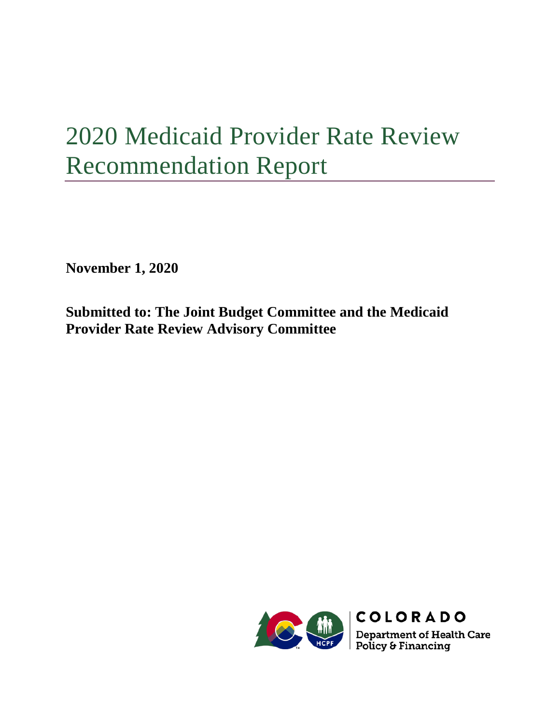# 2020 Medicaid Provider Rate Review Recommendation Report

**November 1, 2020**

**Submitted to: The Joint Budget Committee and the Medicaid Provider Rate Review Advisory Committee**

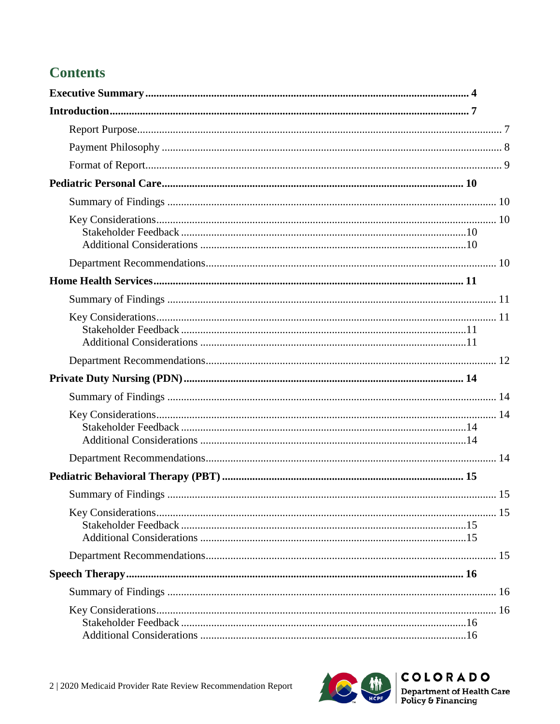# **Contents**



COLORADO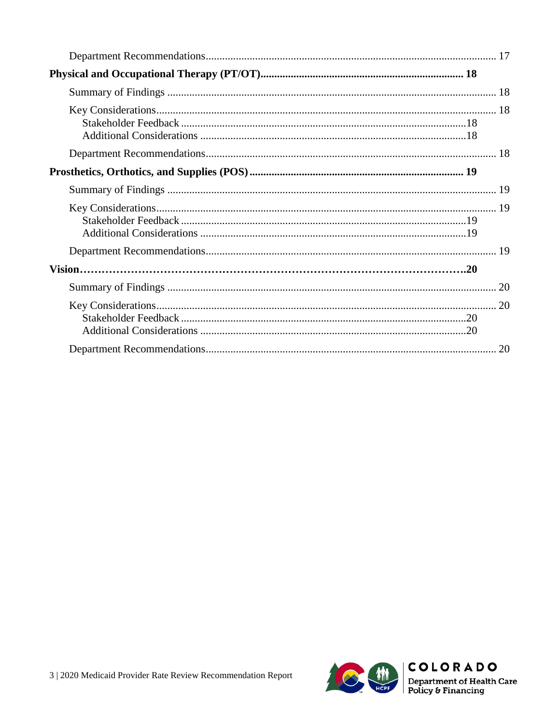

 $[COLORADO$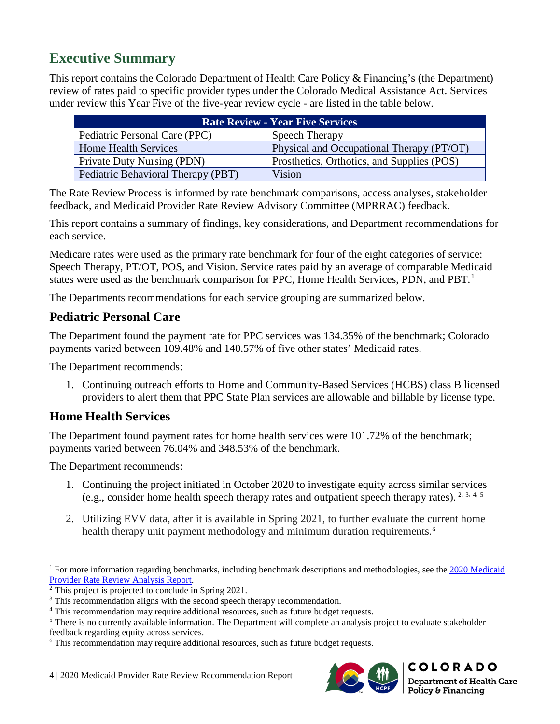# <span id="page-7-0"></span>**Executive Summary**

This report contains the Colorado Department of Health Care Policy & Financing's (the Department) review of rates paid to specific provider types under the Colorado Medical Assistance Act. Services under review this Year Five of the five-year review cycle - are listed in the table below.

| <b>Rate Review - Year Five Services</b> |                                            |  |
|-----------------------------------------|--------------------------------------------|--|
| Pediatric Personal Care (PPC)           | Speech Therapy                             |  |
| <b>Home Health Services</b>             | Physical and Occupational Therapy (PT/OT)  |  |
| <b>Private Duty Nursing (PDN)</b>       | Prosthetics, Orthotics, and Supplies (POS) |  |
| Pediatric Behavioral Therapy (PBT)      | Vision                                     |  |

The Rate Review Process is informed by rate benchmark comparisons, access analyses, stakeholder feedback, and Medicaid Provider Rate Review Advisory Committee (MPRRAC) feedback.

This report contains a summary of findings, key considerations, and Department recommendations for each service.

Medicare rates were used as the primary rate benchmark for four of the eight categories of service: Speech Therapy, PT/OT, POS, and Vision. Service rates paid by an average of comparable Medicaid states were used as the benchmark comparison for PPC, Home Health Services, PDN, and PBT.<sup>[1](#page-7-1)</sup>

The Departments recommendations for each service grouping are summarized below.

### **Pediatric Personal Care**

The Department found the payment rate for PPC services was 134.35% of the benchmark; Colorado payments varied between 109.48% and 140.57% of five other states' Medicaid rates.

The Department recommends:

1. Continuing outreach efforts to Home and Community-Based Services (HCBS) class B licensed providers to alert them that PPC State Plan services are allowable and billable by license type.

# **Home Health Services**

The Department found payment rates for home health services were 101.72% of the benchmark; payments varied between 76.04% and 348.53% of the benchmark.

The Department recommends:

- 1. Continuing the project initiated in October 2020 to investigate equity across similar services (e.g., consider home health speech therapy rates and outpatient speech therapy rates). [2,](#page-7-2) [3,](#page-7-3) [4,](#page-7-4) [5](#page-7-5)
- 2. Utilizing EVV data, after it is available in Spring 2021, to further evaluate the current home health therapy unit payment methodology and minimum duration requirements. [6](#page-7-6)



<span id="page-7-1"></span><sup>&</sup>lt;sup>1</sup> For more information regarding benchmarks, including benchmark descriptions and methodologies, see the [2020 Medicaid](https://www.colorado.gov/pacific/sites/default/files/2020%20Medicaid%20Provider%20Rate%20Review%20Analysis%20Report.pdf) Provider Rate Review Analysis Report.

<span id="page-7-2"></span> $<sup>2</sup>$  This project is projected to conclude in Spring 2021.</sup>

<span id="page-7-3"></span><sup>&</sup>lt;sup>3</sup> This recommendation aligns with the second speech therapy recommendation.

<span id="page-7-5"></span><span id="page-7-4"></span> $4$  This recommendation may require additional resources, such as future budget requests.<br><sup>5</sup> There is no currently available information. The Department will complete an analysis project to evaluate stakeholder feedback regarding equity across services.

<span id="page-7-6"></span><sup>6</sup> This recommendation may require additional resources, such as future budget requests.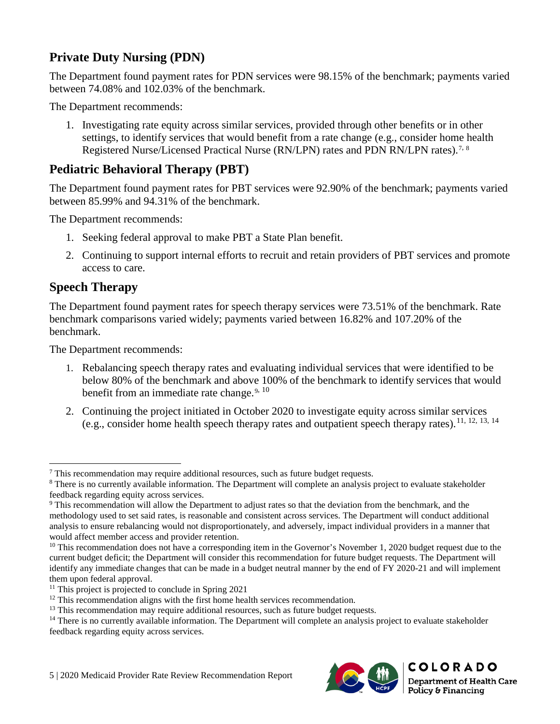# **Private Duty Nursing (PDN)**

The Department found payment rates for PDN services were 98.15% of the benchmark; payments varied between 74.08% and 102.03% of the benchmark.

The Department recommends:

1. Investigating rate equity across similar services, provided through other benefits or in other settings, to identify services that would benefit from a rate change (e.g., consider home health Registered Nurse/Licensed Practical Nurse (RN/LPN) rates and PDN RN/LPN rates).<sup>[7](#page-8-0), [8](#page-8-1)</sup>

### **Pediatric Behavioral Therapy (PBT)**

The Department found payment rates for PBT services were 92.90% of the benchmark; payments varied between 85.99% and 94.31% of the benchmark.

The Department recommends:

- 1. Seeking federal approval to make PBT a State Plan benefit.
- 2. Continuing to support internal efforts to recruit and retain providers of PBT services and promote access to care.

#### **Speech Therapy**

The Department found payment rates for speech therapy services were 73.51% of the benchmark. Rate benchmark comparisons varied widely; payments varied between 16.82% and 107.20% of the benchmark.

The Department recommends:

- 1. Rebalancing speech therapy rates and evaluating individual services that were identified to be below 80% of the benchmark and above 100% of the benchmark to identify services that would benefit from an immediate rate change. $9, 10$  $9, 10$  $9, 10$
- 2. Continuing the project initiated in October 2020 to investigate equity across similar services (e.g., consider home health speech therapy rates and outpatient speech therapy rates).[11,](#page-8-4) [12](#page-8-5), [13,](#page-8-6) [14](#page-8-7)



 $\overline{a}$ 

<span id="page-8-1"></span><span id="page-8-0"></span><sup>&</sup>lt;sup>7</sup> This recommendation may require additional resources, such as future budget requests.  $8$  There is no currently available information. The Department will complete an analysis project to evaluate stakeholder feedback regarding equity across services.

<span id="page-8-2"></span><sup>9</sup> This recommendation will allow the Department to adjust rates so that the deviation from the benchmark, and the methodology used to set said rates, is reasonable and consistent across services. The Department will conduct additional analysis to ensure rebalancing would not disproportionately, and adversely, impact individual providers in a manner that would affect member access and provider retention.

<span id="page-8-3"></span><sup>&</sup>lt;sup>10</sup> This recommendation does not have a corresponding item in the Governor's November 1, 2020 budget request due to the current budget deficit; the Department will consider this recommendation for future budget requests. The Department will identify any immediate changes that can be made in a budget neutral manner by the end of FY 2020-21 and will implement them upon federal approval.

<span id="page-8-5"></span><span id="page-8-4"></span><sup>&</sup>lt;sup>11</sup> This project is projected to conclude in Spring 2021<br><sup>12</sup> This recommendation aligns with the first home health services recommendation.

<span id="page-8-7"></span><span id="page-8-6"></span> $13$  This recommendation may require additional resources, such as future budget requests.<br><sup>14</sup> There is no currently available information. The Department will complete an analysis project to evaluate stakeholder feedback regarding equity across services.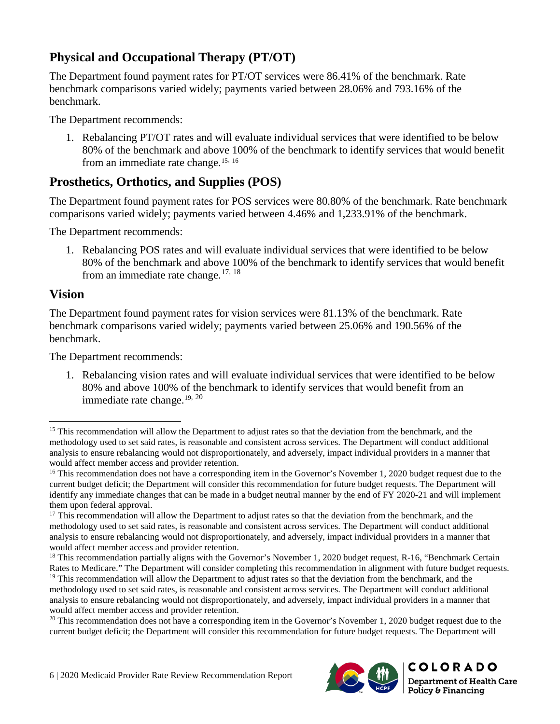# **Physical and Occupational Therapy (PT/OT)**

The Department found payment rates for PT/OT services were 86.41% of the benchmark. Rate benchmark comparisons varied widely; payments varied between 28.06% and 793.16% of the benchmark.

The Department recommends:

1. Rebalancing PT/OT rates and will evaluate individual services that were identified to be below 80% of the benchmark and above 100% of the benchmark to identify services that would benefit from an immediate rate change.<sup>[15](#page-9-0), [16](#page-9-1)</sup>

### **Prosthetics, Orthotics, and Supplies (POS)**

The Department found payment rates for POS services were 80.80% of the benchmark. Rate benchmark comparisons varied widely; payments varied between 4.46% and 1,233.91% of the benchmark.

The Department recommends:

1. Rebalancing POS rates and will evaluate individual services that were identified to be below 80% of the benchmark and above 100% of the benchmark to identify services that would benefit from an immediate rate change.<sup>[17](#page-9-2), [18](#page-9-3)</sup>

#### **Vision**

The Department found payment rates for vision services were 81.13% of the benchmark. Rate benchmark comparisons varied widely; payments varied between 25.06% and 190.56% of the benchmark.

The Department recommends:

1. Rebalancing vision rates and will evaluate individual services that were identified to be below 80% and above 100% of the benchmark to identify services that would benefit from an immediate rate change. $19, 20$  $19, 20$  $19, 20$ 



<span id="page-9-0"></span><sup>&</sup>lt;sup>15</sup> This recommendation will allow the Department to adjust rates so that the deviation from the benchmark, and the methodology used to set said rates, is reasonable and consistent across services. The Department will conduct additional analysis to ensure rebalancing would not disproportionately, and adversely, impact individual providers in a manner that would affect member access and provider retention.

<span id="page-9-1"></span> $16$  This recommendation does not have a corresponding item in the Governor's November 1, 2020 budget request due to the current budget deficit; the Department will consider this recommendation for future budget requests. The Department will identify any immediate changes that can be made in a budget neutral manner by the end of FY 2020-21 and will implement them upon federal approval.

<span id="page-9-2"></span><sup>&</sup>lt;sup>17</sup> This recommendation will allow the Department to adjust rates so that the deviation from the benchmark, and the methodology used to set said rates, is reasonable and consistent across services. The Department will conduct additional analysis to ensure rebalancing would not disproportionately, and adversely, impact individual providers in a manner that would affect member access and provider retention.

<span id="page-9-3"></span><sup>&</sup>lt;sup>18</sup> This recommendation partially aligns with the Governor's November 1, 2020 budget request, R-16, "Benchmark Certain Rates to Medicare." The Department will consider completing this recommendation in alignment with future budget requests.

<span id="page-9-4"></span><sup>&</sup>lt;sup>19</sup> This recommendation will allow the Department to adjust rates so that the deviation from the benchmark, and the methodology used to set said rates, is reasonable and consistent across services. The Department will conduct additional analysis to ensure rebalancing would not disproportionately, and adversely, impact individual providers in a manner that would affect member access and provider retention.

<span id="page-9-5"></span> $20$  This recommendation does not have a corresponding item in the Governor's November 1, 2020 budget request due to the current budget deficit; the Department will consider this recommendation for future budget requests. The Department will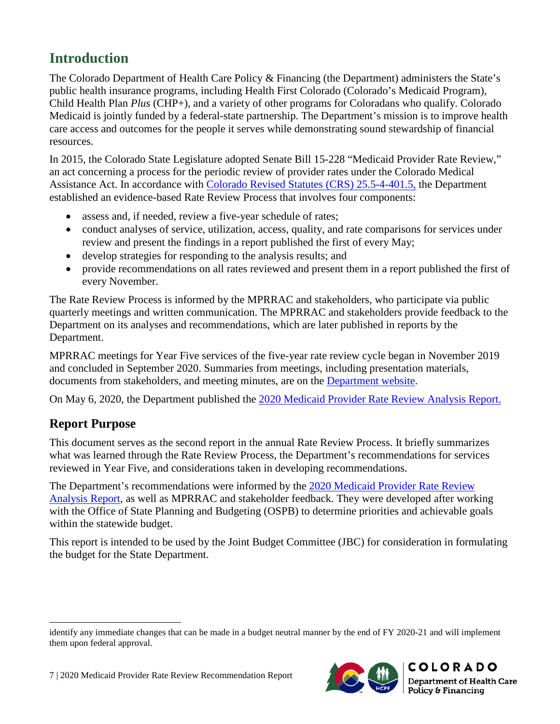# <span id="page-10-0"></span>**Introduction**

The Colorado Department of Health Care Policy & Financing (the Department) administers the State's public health insurance programs, including Health First Colorado (Colorado's Medicaid Program), Child Health Plan *Plus* (CHP+), and a variety of other programs for Coloradans who qualify. Colorado Medicaid is jointly funded by a federal-state partnership. The Department's mission is to improve health care access and outcomes for the people it serves while demonstrating sound stewardship of financial resources.

In 2015, the Colorado State Legislature adopted Senate Bill 15-228 "Medicaid Provider Rate Review," an act concerning a process for the periodic review of provider rates under the Colorado Medical Assistance Act. In accordance with [Colorado Revised Statutes \(CRS\) 25.5-4-401.5,](https://advance.lexis.com/container?config=0345494EJAA5ZjE0MDIyYy1kNzZkLTRkNzktYTkxMS04YmJhNjBlNWUwYzYKAFBvZENhdGFsb2e4CaPI4cak6laXLCWyLBO9&crid=0dddc355-b989-40dd-9153-f1e1648f0e2b) the Department established an evidence-based Rate Review Process that involves four components:

- assess and, if needed, review a five-year schedule of rates;
- conduct analyses of service, utilization, access, quality, and rate comparisons for services under review and present the findings in a report published the first of every May;
- develop strategies for responding to the analysis results; and
- provide recommendations on all rates reviewed and present them in a report published the first of every November.

The Rate Review Process is informed by the MPRRAC and stakeholders, who participate via public quarterly meetings and written communication. The MPRRAC and stakeholders provide feedback to the Department on its analyses and recommendations, which are later published in reports by the Department.

MPRRAC meetings for Year Five services of the five-year rate review cycle began in November 2019 and concluded in September 2020. Summaries from meetings, including presentation materials, documents from stakeholders, and meeting minutes, are on the [Department website.](https://www.colorado.gov/pacific/hcpf/rate-review)

On May 6, 2020, the Department published the [2020 Medicaid Provider Rate Review Analysis Report.](https://www.colorado.gov/pacific/sites/default/files/2020%20Medicaid%20Provider%20Rate%20Review%20Analysis%20Report.pdf)

### <span id="page-10-1"></span>**Report Purpose**

This document serves as the second report in the annual Rate Review Process. It briefly summarizes what was learned through the Rate Review Process, the Department's recommendations for services reviewed in Year Five, and considerations taken in developing recommendations.

The Department's recommendations were informed by the [2020 Medicaid Provider Rate Review](https://www.colorado.gov/pacific/sites/default/files/2020%20Medicaid%20Provider%20Rate%20Review%20Analysis%20Report.pdf)  [Analysis Report,](https://www.colorado.gov/pacific/sites/default/files/2020%20Medicaid%20Provider%20Rate%20Review%20Analysis%20Report.pdf) as well as MPRRAC and stakeholder feedback. They were developed after working with the Office of State Planning and Budgeting (OSPB) to determine priorities and achievable goals within the statewide budget.

This report is intended to be used by the Joint Budget Committee (JBC) for consideration in formulating the budget for the State Department.



identify any immediate changes that can be made in a budget neutral manner by the end of FY 2020-21 and will implement them upon federal approval.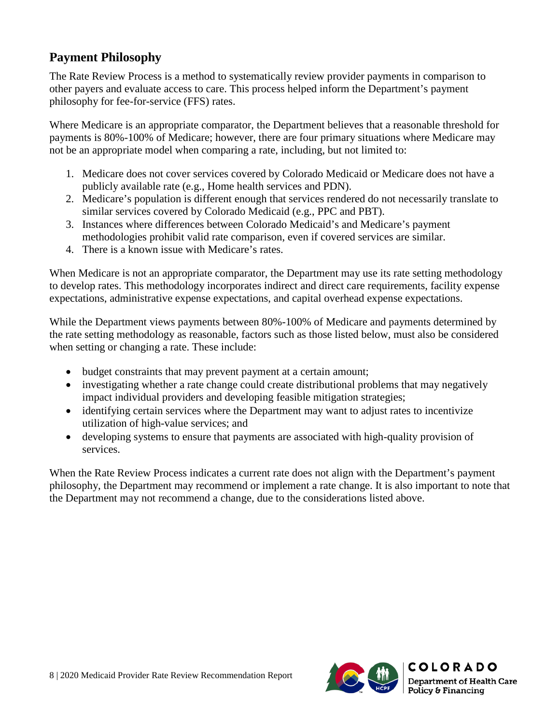### <span id="page-11-0"></span>**Payment Philosophy**

The Rate Review Process is a method to systematically review provider payments in comparison to other payers and evaluate access to care. This process helped inform the Department's payment philosophy for fee-for-service (FFS) rates.

Where Medicare is an appropriate comparator, the Department believes that a reasonable threshold for payments is 80%-100% of Medicare; however, there are four primary situations where Medicare may not be an appropriate model when comparing a rate, including, but not limited to:

- 1. Medicare does not cover services covered by Colorado Medicaid or Medicare does not have a publicly available rate (e.g., Home health services and PDN).
- 2. Medicare's population is different enough that services rendered do not necessarily translate to similar services covered by Colorado Medicaid (e.g., PPC and PBT).
- 3. Instances where differences between Colorado Medicaid's and Medicare's payment methodologies prohibit valid rate comparison, even if covered services are similar.
- 4. There is a known issue with Medicare's rates.

When Medicare is not an appropriate comparator, the Department may use its rate setting methodology to develop rates. This methodology incorporates indirect and direct care requirements, facility expense expectations, administrative expense expectations, and capital overhead expense expectations.

While the Department views payments between 80%-100% of Medicare and payments determined by the rate setting methodology as reasonable, factors such as those listed below, must also be considered when setting or changing a rate. These include:

- budget constraints that may prevent payment at a certain amount;
- investigating whether a rate change could create distributional problems that may negatively impact individual providers and developing feasible mitigation strategies;
- identifying certain services where the Department may want to adjust rates to incentivize utilization of high-value services; and
- developing systems to ensure that payments are associated with high-quality provision of services.

When the Rate Review Process indicates a current rate does not align with the Department's payment philosophy, the Department may recommend or implement a rate change. It is also important to note that the Department may not recommend a change, due to the considerations listed above.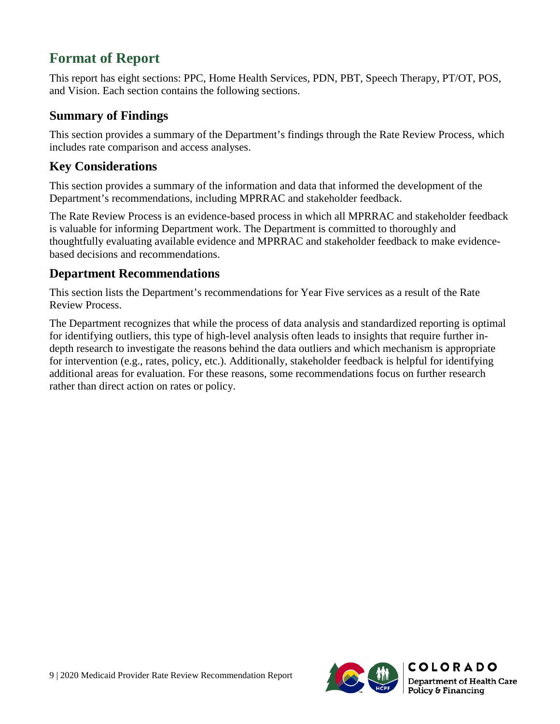# **Format of Report**

This report has eight sections: PPC, Home Health Services, PDN, PBT, Speech Therapy, PT/OT, POS, and Vision. Each section contains the following sections.

### <span id="page-12-0"></span>**Summary of Findings**

This section provides a summary of the Department's findings through the Rate Review Process, which includes rate comparison and access analyses.

### **Key Considerations**

This section provides a summary of the information and data that informed the development of the Department's recommendations, including MPRRAC and stakeholder feedback.

The Rate Review Process is an evidence-based process in which all MPRRAC and stakeholder feedback is valuable for informing Department work. The Department is committed to thoroughly and thoughtfully evaluating available evidence and MPRRAC and stakeholder feedback to make evidencebased decisions and recommendations.

### **Department Recommendations**

This section lists the Department's recommendations for Year Five services as a result of the Rate Review Process.

The Department recognizes that while the process of data analysis and standardized reporting is optimal for identifying outliers, this type of high-level analysis often leads to insights that require further indepth research to investigate the reasons behind the data outliers and which mechanism is appropriate for intervention (e.g., rates, policy, etc.). Additionally, stakeholder feedback is helpful for identifying additional areas for evaluation. For these reasons, some recommendations focus on further research rather than direct action on rates or policy.

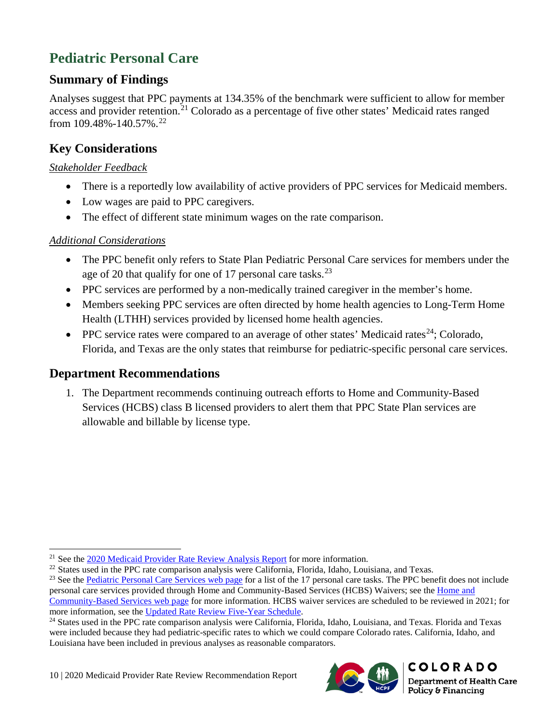# <span id="page-13-0"></span>**Pediatric Personal Care**

### <span id="page-13-1"></span>**Summary of Findings**

Analyses suggest that PPC payments at 134.35% of the benchmark were sufficient to allow for member access and provider retention.<sup>[21](#page-13-6)</sup> Colorado as a percentage of five other states' Medicaid rates ranged from 109.48%-140.57%.[22](#page-13-7)

# <span id="page-13-2"></span>**Key Considerations**

#### <span id="page-13-3"></span>*Stakeholder Feedback*

- There is a reportedly low availability of active providers of PPC services for Medicaid members.
- Low wages are paid to PPC caregivers.
- The effect of different state minimum wages on the rate comparison.

#### <span id="page-13-4"></span>*Additional Considerations*

- The PPC benefit only refers to State Plan Pediatric Personal Care services for members under the age of 20 that qualify for one of 17 personal care tasks.<sup>[23](#page-13-8)</sup>
- PPC services are performed by a non-medically trained caregiver in the member's home.
- Members seeking PPC services are often directed by home health agencies to Long-Term Home Health (LTHH) services provided by licensed home health agencies.
- PPC service rates were compared to an average of other states' Medicaid rates<sup>[24](#page-13-9)</sup>; Colorado, Florida, and Texas are the only states that reimburse for pediatric-specific personal care services.

### <span id="page-13-5"></span>**Department Recommendations**

 $\overline{a}$ 

1. The Department recommends continuing outreach efforts to Home and Community-Based Services (HCBS) class B licensed providers to alert them that PPC State Plan services are allowable and billable by license type.



<sup>&</sup>lt;sup>21</sup> See the [2020 Medicaid Provider Rate Review Analysis Report](https://www.colorado.gov/pacific/sites/default/files/2020%20Medicaid%20Provider%20Rate%20Review%20Analysis%20Report.pdf) for more information.

<span id="page-13-8"></span><span id="page-13-7"></span><span id="page-13-6"></span> $^{22}$  States used in the PPC rate comparison analysis were California, Florida, Idaho, Louisiana, and Texas.<br><sup>23</sup> See th[e Pediatric Personal Care Services web page](https://www.colorado.gov/pacific/hcpf/pediatric-personal-care-services) for a list of the 17 personal care tasks. The PPC benefi personal care services provided through Home and Community-Based Services (HCBS) Waivers; see the [Home and](https://www.colorado.gov/pacific/hcpf/long-term-services-supports-benefits-services-glossary#Personal%20Care) 

[Community-Based Services web page](https://www.colorado.gov/pacific/hcpf/long-term-services-supports-benefits-services-glossary#Personal%20Care) for more information. HCBS waiver services are scheduled to be reviewed in 2021; for more information, see the [Updated Rate Review Five-Year Schedule.](https://www.colorado.gov/pacific/sites/default/files/Updated%20Rate%20Review%20Schedule_Final_July2019.pdf)

<span id="page-13-9"></span><sup>&</sup>lt;sup>24</sup> States used in the PPC rate comparison analysis were California, Florida, Idaho, Louisiana, and Texas. Florida and Texas were included because they had pediatric-specific rates to which we could compare Colorado rates. California, Idaho, and Louisiana have been included in previous analyses as reasonable comparators.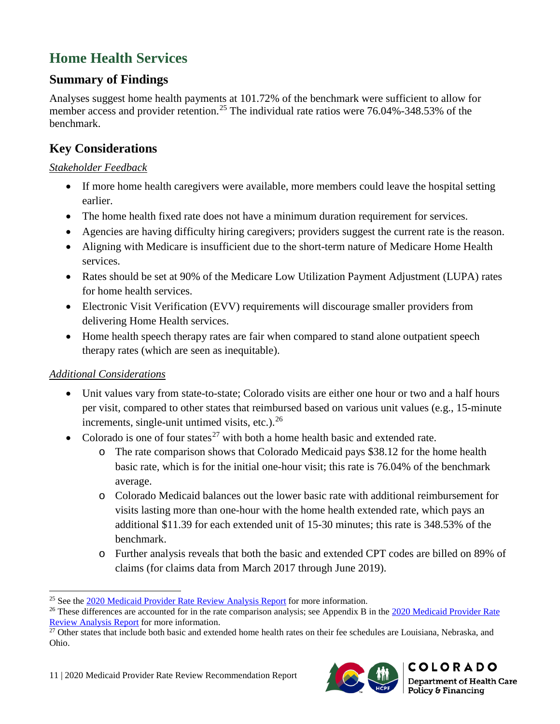# <span id="page-14-0"></span>**Home Health Services**

### <span id="page-14-1"></span>**Summary of Findings**

Analyses suggest home health payments at 101.72% of the benchmark were sufficient to allow for member access and provider retention.<sup>[25](#page-14-5)</sup> The individual rate ratios were 76.04%-348.53% of the benchmark.

### <span id="page-14-2"></span>**Key Considerations**

#### <span id="page-14-3"></span>*Stakeholder Feedback*

- If more home health caregivers were available, more members could leave the hospital setting earlier.
- The home health fixed rate does not have a minimum duration requirement for services.
- Agencies are having difficulty hiring caregivers; providers suggest the current rate is the reason.
- Aligning with Medicare is insufficient due to the short-term nature of Medicare Home Health services.
- Rates should be set at 90% of the Medicare Low Utilization Payment Adjustment (LUPA) rates for home health services.
- Electronic Visit Verification (EVV) requirements will discourage smaller providers from delivering Home Health services.
- Home health speech therapy rates are fair when compared to stand alone outpatient speech therapy rates (which are seen as inequitable).

### <span id="page-14-4"></span>*Additional Considerations*

- Unit values vary from state-to-state; Colorado visits are either one hour or two and a half hours per visit, compared to other states that reimbursed based on various unit values (e.g., 15-minute increments, single-unit untimed visits, etc.). $^{26}$  $^{26}$  $^{26}$
- Colorado is one of four states<sup>[27](#page-14-7)</sup> with both a home health basic and extended rate.
	- o The rate comparison shows that Colorado Medicaid pays \$38.12 for the home health basic rate, which is for the initial one-hour visit; this rate is 76.04% of the benchmark average.
	- o Colorado Medicaid balances out the lower basic rate with additional reimbursement for visits lasting more than one-hour with the home health extended rate, which pays an additional \$11.39 for each extended unit of 15-30 minutes; this rate is 348.53% of the benchmark.
	- o Further analysis reveals that both the basic and extended CPT codes are billed on 89% of claims (for claims data from March 2017 through June 2019).



<span id="page-14-5"></span><sup>25</sup> See th[e 2020 Medicaid Provider Rate Review Analysis Report](https://www.colorado.gov/pacific/sites/default/files/2020%20Medicaid%20Provider%20Rate%20Review%20Analysis%20Report.pdf) for more information.

<span id="page-14-6"></span><sup>&</sup>lt;sup>26</sup> These differences are accounted for in the rate comparison analysis; see Appendix B in the 2020 Medicaid Provider Rate

<span id="page-14-7"></span>Review Analysis Report for more information.<br><sup>27</sup> Other states that include both basic and extended home health rates on their fee schedules are Louisiana, Nebraska, and Ohio.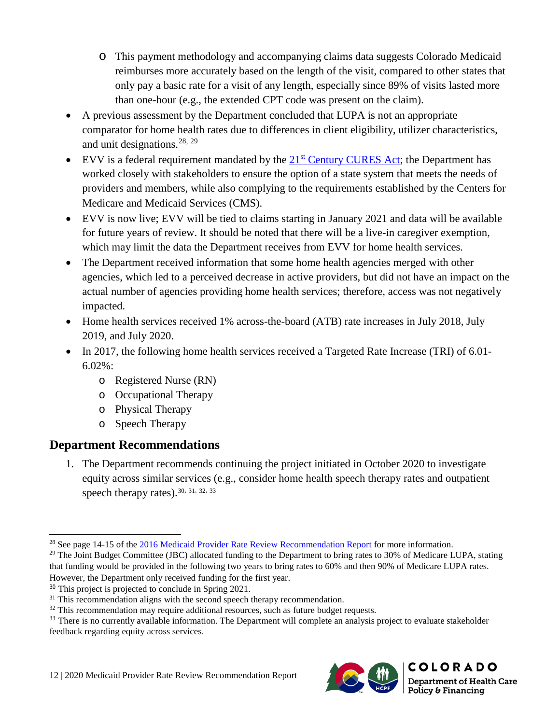- o This payment methodology and accompanying claims data suggests Colorado Medicaid reimburses more accurately based on the length of the visit, compared to other states that only pay a basic rate for a visit of any length, especially since 89% of visits lasted more than one-hour (e.g., the extended CPT code was present on the claim).
- A previous assessment by the Department concluded that LUPA is not an appropriate comparator for home health rates due to differences in client eligibility, utilizer characteristics, and unit designations.  $28, 29$  $28, 29$  $28, 29$
- EVV is a federal requirement mandated by the  $21<sup>st</sup>$  [Century CURES Act;](https://docs.house.gov/billsthisweek/20161128/CPRT-114-HPRT-RU00-SAHR34.pdf) the Department has worked closely with stakeholders to ensure the option of a state system that meets the needs of providers and members, while also complying to the requirements established by the Centers for Medicare and Medicaid Services (CMS).
- EVV is now live; EVV will be tied to claims starting in January 2021 and data will be available for future years of review. It should be noted that there will be a live-in caregiver exemption, which may limit the data the Department receives from EVV for home health services.
- The Department received information that some home health agencies merged with other agencies, which led to a perceived decrease in active providers, but did not have an impact on the actual number of agencies providing home health services; therefore, access was not negatively impacted.
- Home health services received 1% across-the-board (ATB) rate increases in July 2018, July 2019, and July 2020.
- In 2017, the following home health services received a Targeted Rate Increase (TRI) of 6.01-6.02%:
	- o Registered Nurse (RN)
	- o Occupational Therapy
	- o Physical Therapy
	- o Speech Therapy

# <span id="page-15-0"></span>**Department Recommendations**

1. The Department recommends continuing the project initiated in October 2020 to investigate equity across similar services (e.g., consider home health speech therapy rates and outpatient speech therapy rates).  $30, 31, 32, 33$  $30, 31, 32, 33$  $30, 31, 32, 33$  $30, 31, 32, 33$  $30, 31, 32, 33$  $30, 31, 32, 33$  $30, 31, 32, 33$ 



<sup>28</sup> See page 14-15 of th[e 2016 Medicaid Provider Rate Review Recommendation Report](https://www.colorado.gov/pacific/sites/default/files/2016%20Medicaid%20Provider%20Rate%20Review%20Recommendation%20Report_0.pdf) for more information.

<span id="page-15-2"></span><span id="page-15-1"></span><sup>&</sup>lt;sup>29</sup> The Joint Budget Committee (JBC) allocated funding to the Department to bring rates to 30% of Medicare LUPA, stating that funding would be provided in the following two years to bring rates to 60% and then 90% of Medicare LUPA rates. However, the Department only received funding for the first year.

<span id="page-15-4"></span><span id="page-15-3"></span> $30$  This project is projected to conclude in Spring 2021.<br> $31$  This recommendation aligns with the second speech therapy recommendation.

<span id="page-15-5"></span> $32$  This recommendation may require additional resources, such as future budget requests.

<span id="page-15-6"></span><sup>&</sup>lt;sup>33</sup> There is no currently available information. The Department will complete an analysis project to evaluate stakeholder feedback regarding equity across services.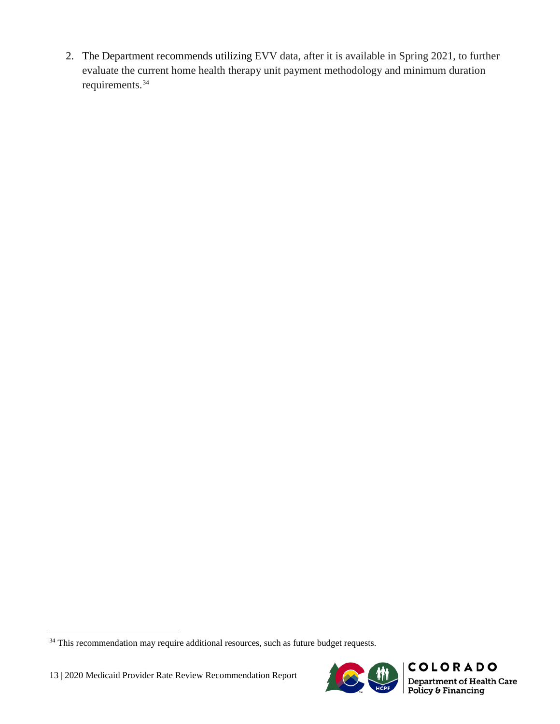2. The Department recommends utilizing EVV data, after it is available in Spring 2021, to further evaluate the current home health therapy unit payment methodology and minimum duration requirements. [34](#page-16-0)

 $\overline{a}$ 



<span id="page-16-0"></span><sup>&</sup>lt;sup>34</sup> This recommendation may require additional resources, such as future budget requests.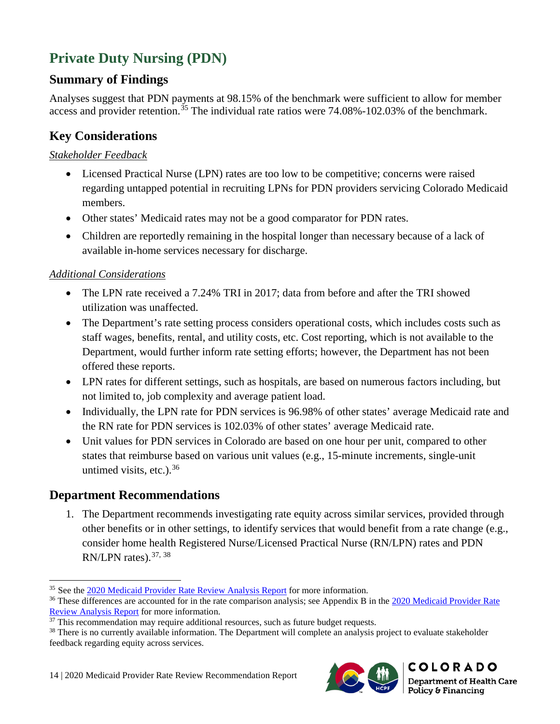# <span id="page-17-0"></span>**Private Duty Nursing (PDN)**

### <span id="page-17-1"></span>**Summary of Findings**

Analyses suggest that PDN payments at 98.15% of the benchmark were sufficient to allow for member access and provider retention.<sup>[35](#page-17-7)</sup> The individual rate ratios were  $74.08\%$ -102.03% of the benchmark.

### <span id="page-17-2"></span>**Key Considerations**

#### <span id="page-17-3"></span>*Stakeholder Feedback*

- Licensed Practical Nurse (LPN) rates are too low to be competitive; concerns were raised regarding untapped potential in recruiting LPNs for PDN providers servicing Colorado Medicaid members.
- Other states' Medicaid rates may not be a good comparator for PDN rates.
- Children are reportedly remaining in the hospital longer than necessary because of a lack of available in-home services necessary for discharge.

#### <span id="page-17-4"></span>*Additional Considerations*

- The LPN rate received a 7.24% TRI in 2017; data from before and after the TRI showed utilization was unaffected.
- The Department's rate setting process considers operational costs, which includes costs such as staff wages, benefits, rental, and utility costs, etc. Cost reporting, which is not available to the Department, would further inform rate setting efforts; however, the Department has not been offered these reports.
- LPN rates for different settings, such as hospitals, are based on numerous factors including, but not limited to, job complexity and average patient load.
- Individually, the LPN rate for PDN services is 96.98% of other states' average Medicaid rate and the RN rate for PDN services is 102.03% of other states' average Medicaid rate.
- Unit values for PDN services in Colorado are based on one hour per unit, compared to other states that reimburse based on various unit values (e.g., 15-minute increments, single-unit untimed visits, etc.).  $36$

### <span id="page-17-5"></span>**Department Recommendations**

 $\overline{a}$ 

<span id="page-17-6"></span>1. The Department recommends investigating rate equity across similar services, provided through other benefits or in other settings, to identify services that would benefit from a rate change (e.g., consider home health Registered Nurse/Licensed Practical Nurse (RN/LPN) rates and PDN RN/LPN rates).  $37, 38$  $37, 38$  $37, 38$ 



<span id="page-17-7"></span><sup>35</sup> See the [2020 Medicaid Provider Rate Review Analysis Report](https://www.colorado.gov/pacific/sites/default/files/2020%20Medicaid%20Provider%20Rate%20Review%20Analysis%20Report.pdf) for more information.

<span id="page-17-8"></span><sup>&</sup>lt;sup>36</sup> These differences are accounted for in the rate comparison analysis; see Appendix B in the 2020 Medicaid Provider Rate Review Analysis Report for more information.<br><sup>37</sup> This recommendation may require additional resources, such as future budget requests.<br><sup>38</sup> There is no currently available information. The Department will complete an anal

<span id="page-17-9"></span>

<span id="page-17-10"></span>feedback regarding equity across services.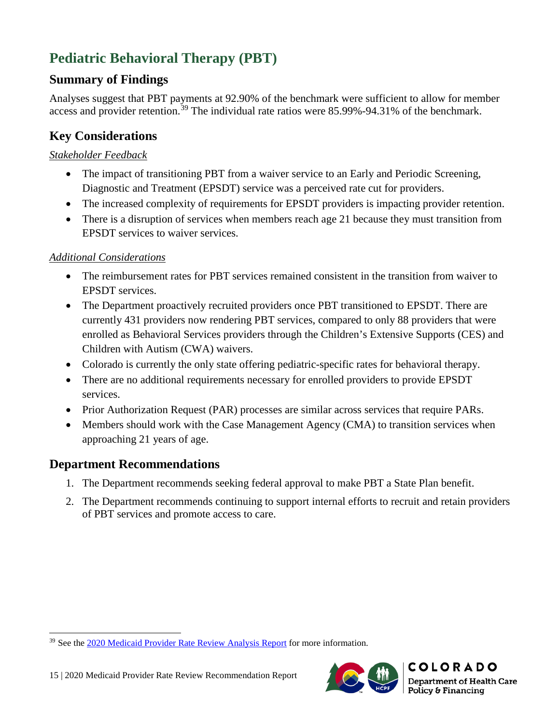# **Pediatric Behavioral Therapy (PBT)**

# <span id="page-18-0"></span>**Summary of Findings**

Analyses suggest that PBT payments at 92.90% of the benchmark were sufficient to allow for member access and provider retention.<sup>[39](#page-18-5)</sup> The individual rate ratios were 85.99%-94.31% of the benchmark.

# <span id="page-18-1"></span>**Key Considerations**

#### <span id="page-18-2"></span>*Stakeholder Feedback*

- The impact of transitioning PBT from a waiver service to an Early and Periodic Screening, Diagnostic and Treatment (EPSDT) service was a perceived rate cut for providers.
- The increased complexity of requirements for EPSDT providers is impacting provider retention.
- There is a disruption of services when members reach age 21 because they must transition from EPSDT services to waiver services.

### <span id="page-18-3"></span>*Additional Considerations*

- The reimbursement rates for PBT services remained consistent in the transition from waiver to EPSDT services.
- The Department proactively recruited providers once PBT transitioned to EPSDT. There are currently 431 providers now rendering PBT services, compared to only 88 providers that were enrolled as Behavioral Services providers through the Children's Extensive Supports (CES) and Children with Autism (CWA) waivers.
- Colorado is currently the only state offering pediatric-specific rates for behavioral therapy.
- There are no additional requirements necessary for enrolled providers to provide EPSDT services.
- Prior Authorization Request (PAR) processes are similar across services that require PARs.
- Members should work with the Case Management Agency (CMA) to transition services when approaching 21 years of age.

### <span id="page-18-4"></span>**Department Recommendations**

 $\overline{a}$ 

- 1. The Department recommends seeking federal approval to make PBT a State Plan benefit.
- 2. The Department recommends continuing to support internal efforts to recruit and retain providers of PBT services and promote access to care.



<span id="page-18-5"></span><sup>&</sup>lt;sup>39</sup> See the [2020 Medicaid Provider Rate Review Analysis Report](https://www.colorado.gov/pacific/sites/default/files/2020%20Medicaid%20Provider%20Rate%20Review%20Analysis%20Report.pdf) for more information.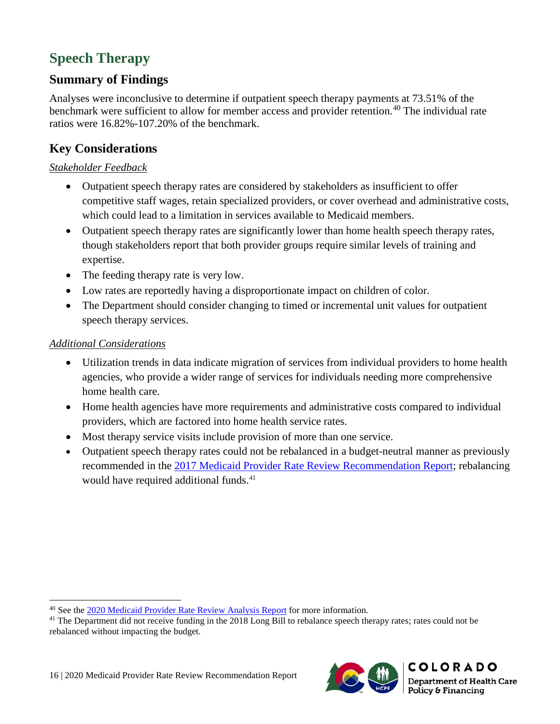# <span id="page-19-0"></span>**Speech Therapy**

# <span id="page-19-1"></span>**Summary of Findings**

Analyses were inconclusive to determine if outpatient speech therapy payments at 73.51% of the benchmark were sufficient to allow for member access and provider retention.<sup>[40](#page-19-5)</sup> The individual rate ratios were 16.82%-107.20% of the benchmark.

### <span id="page-19-2"></span>**Key Considerations**

#### <span id="page-19-3"></span>*Stakeholder Feedback*

- Outpatient speech therapy rates are considered by stakeholders as insufficient to offer competitive staff wages, retain specialized providers, or cover overhead and administrative costs, which could lead to a limitation in services available to Medicaid members.
- Outpatient speech therapy rates are significantly lower than home health speech therapy rates, though stakeholders report that both provider groups require similar levels of training and expertise.
- The feeding therapy rate is very low.
- Low rates are reportedly having a disproportionate impact on children of color.
- The Department should consider changing to timed or incremental unit values for outpatient speech therapy services.

#### <span id="page-19-4"></span>*Additional Considerations*

- Utilization trends in data indicate migration of services from individual providers to home health agencies, who provide a wider range of services for individuals needing more comprehensive home health care.
- Home health agencies have more requirements and administrative costs compared to individual providers, which are factored into home health service rates.
- Most therapy service visits include provision of more than one service.
- Outpatient speech therapy rates could not be rebalanced in a budget-neutral manner as previously recommended in the [2017 Medicaid Provider Rate Review Recommendation Report;](https://www.colorado.gov/pacific/sites/default/files/2017%20Medicaid%20Provider%20Rate%20Review%20Recommendation%20Report%20November%202017_0.pdf) rebalancing would have required additional funds.<sup>[41](#page-19-6)</sup>



<span id="page-19-5"></span><sup>40</sup> See the [2020 Medicaid Provider Rate Review Analysis Report](https://www.colorado.gov/pacific/sites/default/files/2020%20Medicaid%20Provider%20Rate%20Review%20Analysis%20Report.pdf) for more information.

<span id="page-19-6"></span><sup>&</sup>lt;sup>41</sup> The Department did not receive funding in the 2018 Long Bill to rebalance speech therapy rates; rates could not be rebalanced without impacting the budget.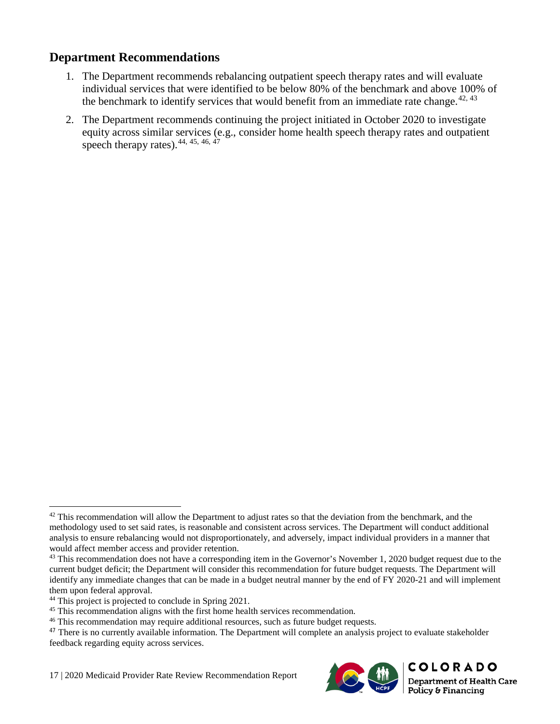### <span id="page-20-0"></span>**Department Recommendations**

- 1. The Department recommends rebalancing outpatient speech therapy rates and will evaluate individual services that were identified to be below 80% of the benchmark and above 100% of the benchmark to identify services that would benefit from an immediate rate change.<sup> $42, 43$  $42, 43$  $42, 43$ </sup>
- 2. The Department recommends continuing the project initiated in October 2020 to investigate equity across similar services (e.g., consider home health speech therapy rates and outpatient speech therapy rates).  $44, 45, 46, 47$  $44, 45, 46, 47$  $44, 45, 46, 47$  $44, 45, 46, 47$  $44, 45, 46, 47$  $44, 45, 46, 47$  $44, 45, 46, 47$

17 | 2020 Medicaid Provider Rate Review Recommendation Report



<span id="page-20-1"></span> $42$  This recommendation will allow the Department to adjust rates so that the deviation from the benchmark, and the methodology used to set said rates, is reasonable and consistent across services. The Department will conduct additional analysis to ensure rebalancing would not disproportionately, and adversely, impact individual providers in a manner that would affect member access and provider retention.

<span id="page-20-2"></span><sup>&</sup>lt;sup>43</sup> This recommendation does not have a corresponding item in the Governor's November 1, 2020 budget request due to the current budget deficit; the Department will consider this recommendation for future budget requests. The Department will identify any immediate changes that can be made in a budget neutral manner by the end of FY 2020-21 and will implement them upon federal approval.<br><sup>44</sup> This project is projected to conclude in Spring 2021.

<span id="page-20-3"></span>

<span id="page-20-4"></span> $45$  This recommendation aligns with the first home health services recommendation.  $46$  This recommendation may require additional resources, such as future budget requests.

<span id="page-20-5"></span>

<span id="page-20-6"></span><sup>&</sup>lt;sup>47</sup> There is no currently available information. The Department will complete an analysis project to evaluate stakeholder feedback regarding equity across services.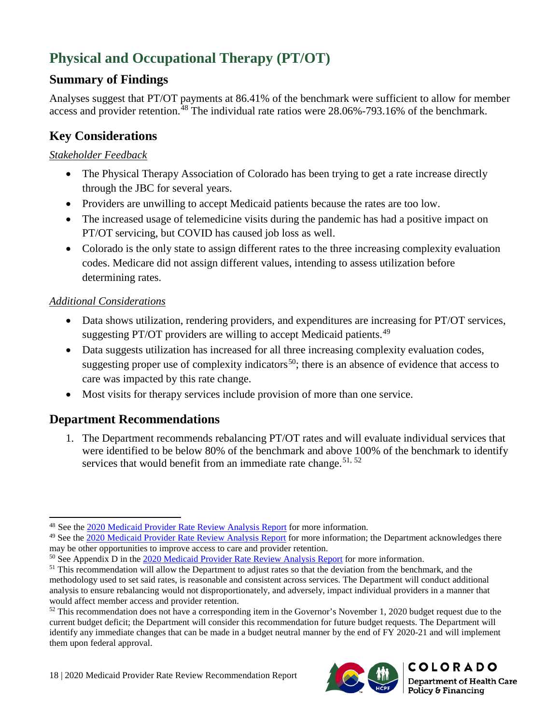# <span id="page-21-0"></span>**Physical and Occupational Therapy (PT/OT)**

# <span id="page-21-1"></span>**Summary of Findings**

Analyses suggest that PT/OT payments at 86.41% of the benchmark were sufficient to allow for member access and provider retention.<sup>[48](#page-21-6)</sup> The individual rate ratios were 28.06%-793.16% of the benchmark.

# <span id="page-21-2"></span>**Key Considerations**

### <span id="page-21-3"></span>*Stakeholder Feedback*

- The Physical Therapy Association of Colorado has been trying to get a rate increase directly through the JBC for several years.
- Providers are unwilling to accept Medicaid patients because the rates are too low.
- The increased usage of telemedicine visits during the pandemic has had a positive impact on PT/OT servicing, but COVID has caused job loss as well.
- Colorado is the only state to assign different rates to the three increasing complexity evaluation codes. Medicare did not assign different values, intending to assess utilization before determining rates.

### <span id="page-21-4"></span>*Additional Considerations*

- Data shows utilization, rendering providers, and expenditures are increasing for PT/OT services, suggesting PT/OT providers are willing to accept Medicaid patients.<sup>[49](#page-21-7)</sup>
- Data suggests utilization has increased for all three increasing complexity evaluation codes, suggesting proper use of complexity indicators<sup>50</sup>; there is an absence of evidence that access to care was impacted by this rate change.
- Most visits for therapy services include provision of more than one service.

# <span id="page-21-5"></span>**Department Recommendations**

1. The Department recommends rebalancing PT/OT rates and will evaluate individual services that were identified to be below 80% of the benchmark and above 100% of the benchmark to identify services that would benefit from an immediate rate change.<sup>[51,](#page-21-9) [52](#page-21-10)</sup>



 $\overline{a}$ <sup>48</sup> See the [2020 Medicaid Provider Rate Review Analysis Report](https://www.colorado.gov/pacific/sites/default/files/2020%20Medicaid%20Provider%20Rate%20Review%20Analysis%20Report.pdf) for more information.

<span id="page-21-7"></span><span id="page-21-6"></span><sup>&</sup>lt;sup>49</sup> See th[e 2020 Medicaid Provider Rate Review Analysis Report](https://www.colorado.gov/pacific/sites/default/files/2020%20Medicaid%20Provider%20Rate%20Review%20Analysis%20Report.pdf) for more information; the Department acknowledges there may be other opportunities to improve access to care and provider retention.

<span id="page-21-8"></span><sup>50</sup> See Appendix D in the [2020 Medicaid Provider Rate Review Analysis Report](https://www.colorado.gov/pacific/sites/default/files/2020%20Medicaid%20Provider%20Rate%20Review%20Analysis%20Report.pdf) for more information.

<span id="page-21-9"></span><sup>&</sup>lt;sup>51</sup> This recommendation will allow the Department to adjust rates so that the deviation from the benchmark, and the methodology used to set said rates, is reasonable and consistent across services. The Department will conduct additional analysis to ensure rebalancing would not disproportionately, and adversely, impact individual providers in a manner that would affect member access and provider retention.

<span id="page-21-10"></span> $52$  This recommendation does not have a corresponding item in the Governor's November 1, 2020 budget request due to the current budget deficit; the Department will consider this recommendation for future budget requests. The Department will identify any immediate changes that can be made in a budget neutral manner by the end of FY 2020-21 and will implement them upon federal approval.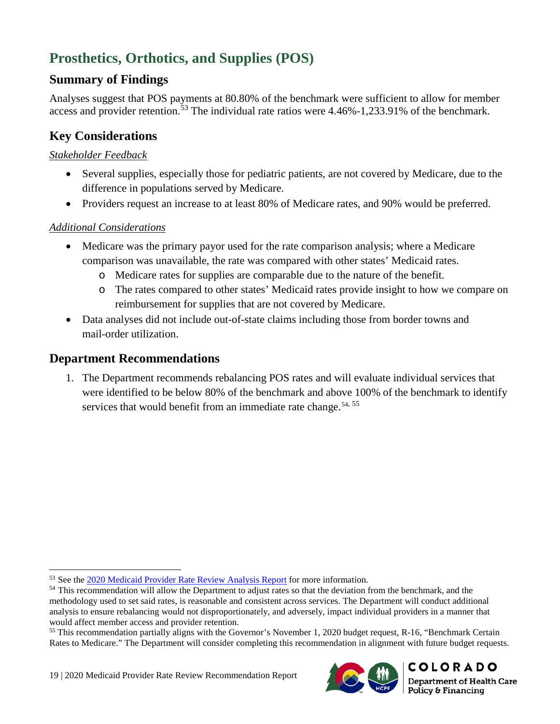# <span id="page-22-0"></span>**Prosthetics, Orthotics, and Supplies (POS)**

### <span id="page-22-1"></span>**Summary of Findings**

Analyses suggest that POS payments at 80.80% of the benchmark were sufficient to allow for member access and provider retention.<sup>[53](#page-22-6)</sup> The individual rate ratios were 4.46%-1,233.91% of the benchmark.

# <span id="page-22-2"></span>**Key Considerations**

### <span id="page-22-3"></span>*Stakeholder Feedback*

- Several supplies, especially those for pediatric patients, are not covered by Medicare, due to the difference in populations served by Medicare.
- Providers request an increase to at least 80% of Medicare rates, and 90% would be preferred.

### <span id="page-22-4"></span>*Additional Considerations*

 $\overline{a}$ 

- Medicare was the primary payor used for the rate comparison analysis; where a Medicare comparison was unavailable, the rate was compared with other states' Medicaid rates.
	- o Medicare rates for supplies are comparable due to the nature of the benefit.
	- o The rates compared to other states' Medicaid rates provide insight to how we compare on reimbursement for supplies that are not covered by Medicare.
- Data analyses did not include out-of-state claims including those from border towns and mail-order utilization.

### <span id="page-22-5"></span>**Department Recommendations**

1. The Department recommends rebalancing POS rates and will evaluate individual services that were identified to be below 80% of the benchmark and above 100% of the benchmark to identify services that would benefit from an immediate rate change.<sup>[54,](#page-22-7) [55](#page-22-8)</sup>



<sup>&</sup>lt;sup>53</sup> See the [2020 Medicaid Provider Rate Review Analysis Report](https://www.colorado.gov/pacific/sites/default/files/2020%20Medicaid%20Provider%20Rate%20Review%20Analysis%20Report.pdf) for more information.

<span id="page-22-7"></span><span id="page-22-6"></span><sup>&</sup>lt;sup>54</sup> This recommendation will allow the Department to adjust rates so that the deviation from the benchmark, and the methodology used to set said rates, is reasonable and consistent across services. The Department will conduct additional analysis to ensure rebalancing would not disproportionately, and adversely, impact individual providers in a manner that would affect member access and provider retention.

<span id="page-22-8"></span><sup>&</sup>lt;sup>55</sup> This recommendation partially aligns with the Governor's November 1, 2020 budget request, R-16, "Benchmark Certain Rates to Medicare." The Department will consider completing this recommendation in alignment with future budget requests.